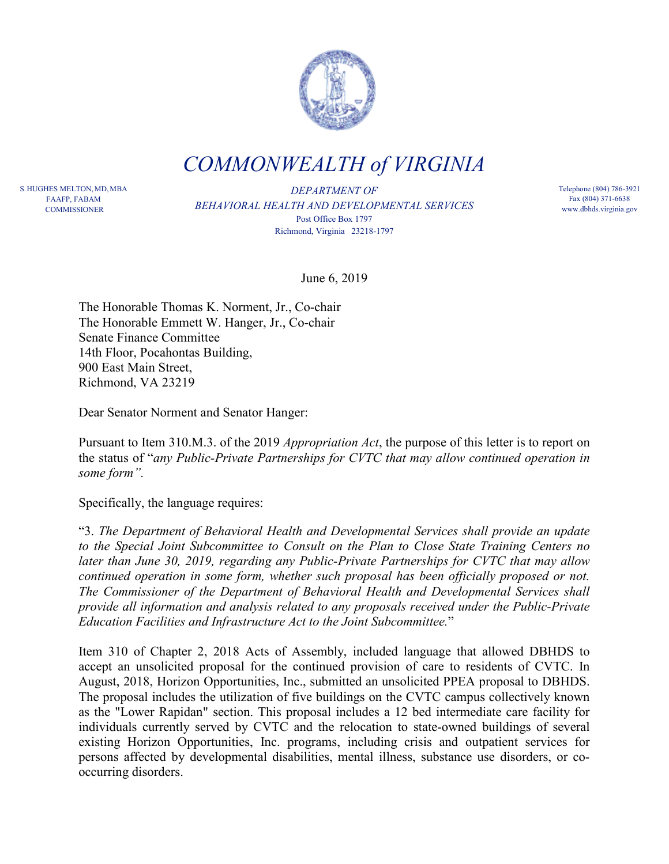

*COMMONWEALTH of VIRGINIA*

S.HUGHES MELTON,MD,MBA FAAFP, FABAM **COMMISSIONER** 

*DEPARTMENT OF BEHAVIORAL HEALTH AND DEVELOPMENTAL SERVICES* Post Office Box 1797 Richmond, Virginia 23218-1797

Telephone (804) 786-3921 Fax (804) 371-6638 www.dbhds.virginia.gov

June 6, 2019

The Honorable Thomas K. Norment, Jr., Co-chair The Honorable Emmett W. Hanger, Jr., Co-chair Senate Finance Committee 14th Floor, Pocahontas Building, 900 East Main Street, Richmond, VA 23219

Dear Senator Norment and Senator Hanger:

Pursuant to Item 310.M.3. of the 2019 *Appropriation Act*, the purpose of this letter is to report on the status of "*any Public-Private Partnerships for CVTC that may allow continued operation in some form".*

Specifically, the language requires:

"3. *The Department of Behavioral Health and Developmental Services shall provide an update to the Special Joint Subcommittee to Consult on the Plan to Close State Training Centers no later than June 30, 2019, regarding any Public-Private Partnerships for CVTC that may allow continued operation in some form, whether such proposal has been officially proposed or not. The Commissioner of the Department of Behavioral Health and Developmental Services shall provide all information and analysis related to any proposals received under the Public-Private Education Facilities and Infrastructure Act to the Joint Subcommittee.*"

Item 310 of Chapter 2, 2018 Acts of Assembly, included language that allowed DBHDS to accept an unsolicited proposal for the continued provision of care to residents of CVTC. In August, 2018, Horizon Opportunities, Inc., submitted an unsolicited PPEA proposal to DBHDS. The proposal includes the utilization of five buildings on the CVTC campus collectively known as the "Lower Rapidan" section. This proposal includes a 12 bed intermediate care facility for individuals currently served by CVTC and the relocation to state-owned buildings of several existing Horizon Opportunities, Inc. programs, including crisis and outpatient services for persons affected by developmental disabilities, mental illness, substance use disorders, or cooccurring disorders.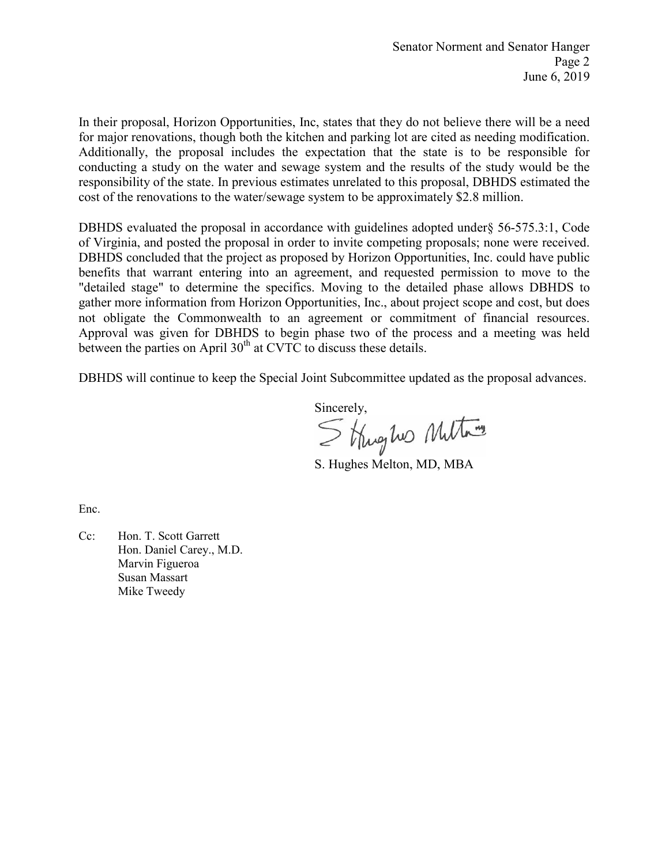In their proposal, Horizon Opportunities, Inc, states that they do not believe there will be a need for major renovations, though both the kitchen and parking lot are cited as needing modification. Additionally, the proposal includes the expectation that the state is to be responsible for conducting a study on the water and sewage system and the results of the study would be the responsibility of the state. In previous estimates unrelated to this proposal, DBHDS estimated the cost of the renovations to the water/sewage system to be approximately \$2.8 million.

DBHDS evaluated the proposal in accordance with guidelines adopted under§ 56-575.3:1, Code of Virginia, and posted the proposal in order to invite competing proposals; none were received. DBHDS concluded that the project as proposed by Horizon Opportunities, Inc. could have public benefits that warrant entering into an agreement, and requested permission to move to the "detailed stage" to determine the specifics. Moving to the detailed phase allows DBHDS to gather more information from Horizon Opportunities, Inc., about project scope and cost, but does not obligate the Commonwealth to an agreement or commitment of financial resources. Approval was given for DBHDS to begin phase two of the process and a meeting was held between the parties on April  $30<sup>th</sup>$  at CVTC to discuss these details.

DBHDS will continue to keep the Special Joint Subcommittee updated as the proposal advances.

Sincerely,<br>Strughes Multame

S. Hughes Melton, MD, MBA

Enc.

Cc: Hon. T. Scott Garrett Hon. Daniel Carey., M.D. Marvin Figueroa Susan Massart Mike Tweedy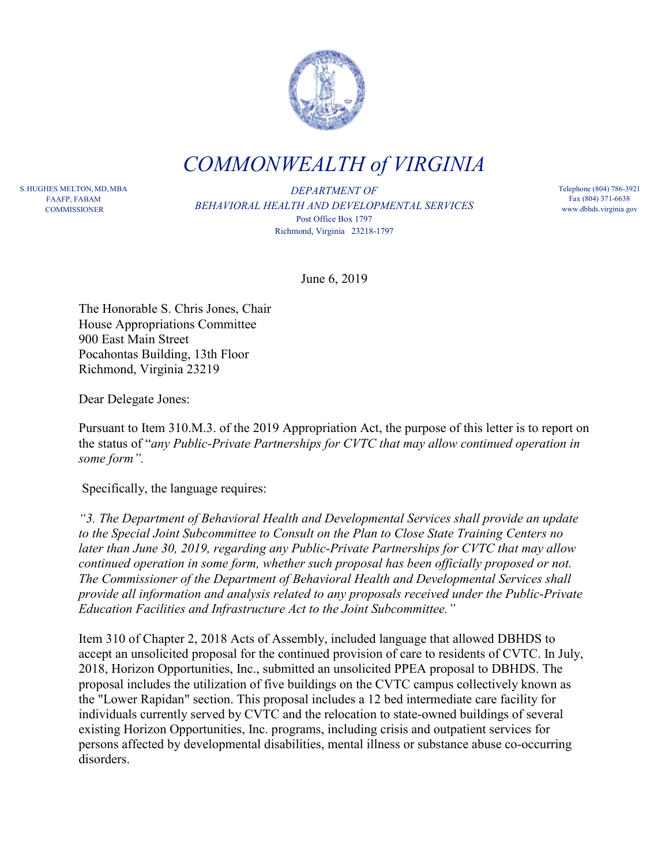

*COMMONWEALTH of VIRGINIA*

S.HUGHES MELTON,MD,MBA FAAFP, FABAM **COMMISSIONER** 

*DEPARTMENT OF BEHAVIORAL HEALTH AND DEVELOPMENTAL SERVICES* Post Office Box 1797 Richmond, Virginia 23218-1797

Telephone (804) 786-3921 Fax (804) 371-6638 www.dbhds.virginia.gov

June 6, 2019

The Honorable S. Chris Jones, Chair House Appropriations Committee 900 East Main Street Pocahontas Building, 13th Floor Richmond, Virginia 23219

Dear Delegate Jones:

Pursuant to Item 310.M.3. of the 2019 Appropriation Act, the purpose of this letter is to report on the status of "*any Public-Private Partnerships for CVTC that may allow continued operation in some form".*

Specifically, the language requires:

*"3. The Department of Behavioral Health and Developmental Services shall provide an update to the Special Joint Subcommittee to Consult on the Plan to Close State Training Centers no later than June 30, 2019, regarding any Public-Private Partnerships for CVTC that may allow continued operation in some form, whether such proposal has been officially proposed or not. The Commissioner of the Department of Behavioral Health and Developmental Services shall provide all information and analysis related to any proposals received under the Public-Private Education Facilities and Infrastructure Act to the Joint Subcommittee."*

Item 310 of Chapter 2, 2018 Acts of Assembly, included language that allowed DBHDS to accept an unsolicited proposal for the continued provision of care to residents of CVTC. In July, 2018, Horizon Opportunities, Inc., submitted an unsolicited PPEA proposal to DBHDS. The proposal includes the utilization of five buildings on the CVTC campus collectively known as the "Lower Rapidan" section. This proposal includes a 12 bed intermediate care facility for individuals currently served by CVTC and the relocation to state-owned buildings of several existing Horizon Opportunities, Inc. programs, including crisis and outpatient services for persons affected by developmental disabilities, mental illness or substance abuse co-occurring disorders.